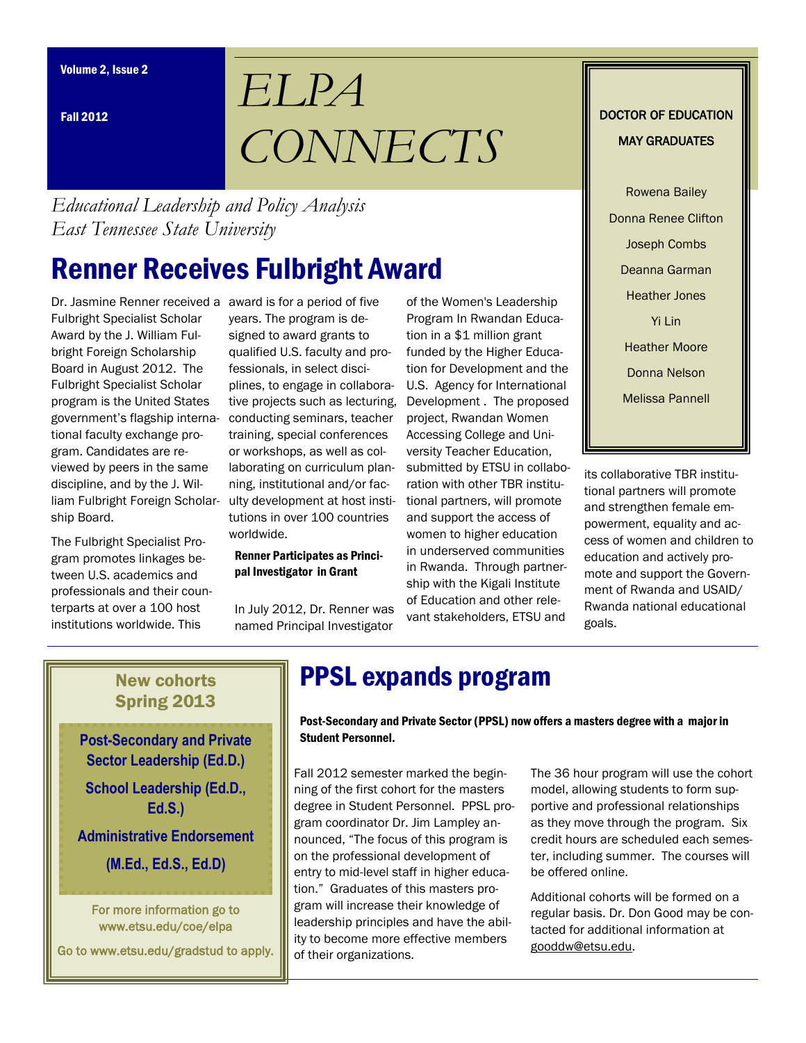Fall 2012

# *ELPA CONNECTS*

*Educational Leadership and Policy Analysis East Tennessee State University*

## Renner Receives Fulbright Award

Dr. Jasmine Renner received a award is for a period of five Fulbright Specialist Scholar Award by the J. William Fulbright Foreign Scholarship Board in August 2012. The Fulbright Specialist Scholar program is the United States government's flagship international faculty exchange program. Candidates are reviewed by peers in the same discipline, and by the J. William Fulbright Foreign Scholarship Board.

The Fulbright Specialist Program promotes linkages between U.S. academics and professionals and their counterparts at over a 100 host institutions worldwide. This

years. The program is designed to award grants to qualified U.S. faculty and professionals, in select disciplines, to engage in collaborative projects such as lecturing, conducting seminars, teacher training, special conferences or workshops, as well as collaborating on curriculum planning, institutional and/or faculty development at host institutions in over 100 countries worldwide.

#### Renner Participates as Principal Investigator in Grant

In July 2012, Dr. Renner was named Principal Investigator of the Women's Leadership Program In Rwandan Education in a \$1 million grant funded by the Higher Education for Development and the U.S. Agency for International Development . The proposed project, Rwandan Women Accessing College and University Teacher Education, submitted by ETSU in collaboration with other TBR institutional partners, will promote and support the access of women to higher education in underserved communities in Rwanda. Through partnership with the Kigali Institute of Education and other relevant stakeholders, ETSU and

#### DOCTOR OF EDUCATION MAY GRADUATES

Rowena Bailey Donna Renee Clifton Joseph Combs Deanna Garman Heather Jones Yi Lin Heather Moore Donna Nelson Melissa Pannell

its collaborative TBR institutional partners will promote and strengthen female empowerment, equality and access of women and children to education and actively promote and support the Government of Rwanda and USAID/ Rwanda national educational goals.

#### New cohorts Spring 2013

**Post-Secondary and Private Sector Leadership (Ed.D.) School Leadership (Ed.D., Ed.S.)**

**Administrative Endorsement**

**(M.Ed., Ed.S., Ed.D)**

For more information go to www.etsu.edu/coe/elpa

Go to www.etsu.edu/gradstud to apply.

## PPSL expands program

Post-Secondary and Private Sector (PPSL) now offers a masters degree with a major in Student Personnel.

Fall 2012 semester marked the beginning of the first cohort for the masters degree in Student Personnel. PPSL program coordinator Dr. Jim Lampley announced, "The focus of this program is on the professional development of entry to mid-level staff in higher education." Graduates of this masters program will increase their knowledge of leadership principles and have the ability to become more effective members of their organizations.

The 36 hour program will use the cohort model, allowing students to form supportive and professional relationships as they move through the program. Six credit hours are scheduled each semester, including summer. The courses will be offered online.

Additional cohorts will be formed on a regular basis. Dr. Don Good may be contacted for additional information at gooddw@etsu.edu.